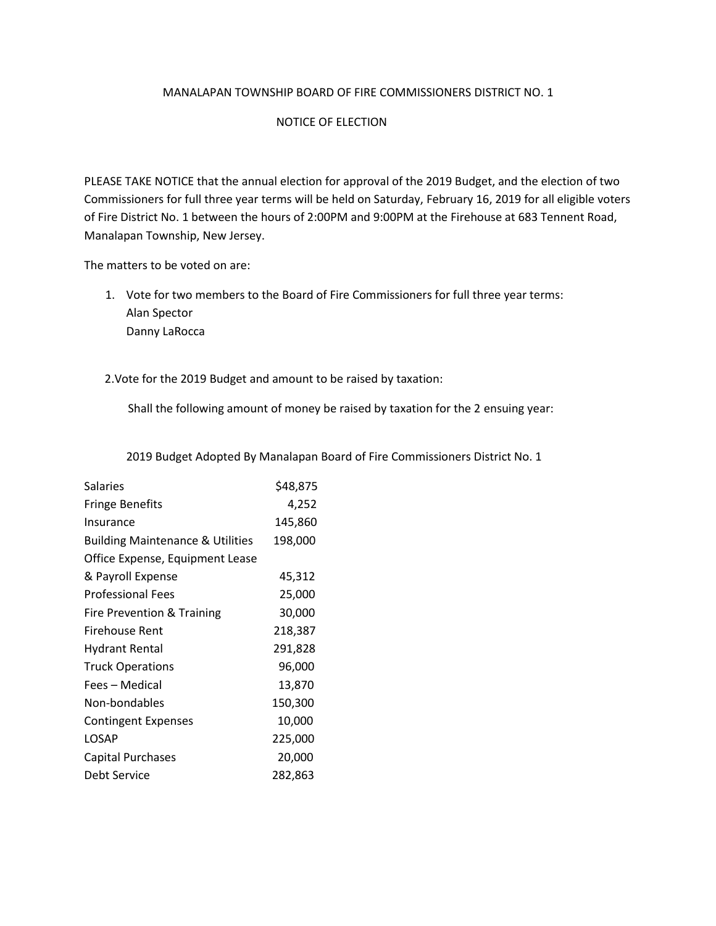## MANALAPAN TOWNSHIP BOARD OF FIRE COMMISSIONERS DISTRICT NO. 1

## NOTICE OF ELECTION

PLEASE TAKE NOTICE that the annual election for approval of the 2019 Budget, and the election of two Commissioners for full three year terms will be held on Saturday, February 16, 2019 for all eligible voters of Fire District No. 1 between the hours of 2:00PM and 9:00PM at the Firehouse at 683 Tennent Road, Manalapan Township, New Jersey.

The matters to be voted on are:

1. Vote for two members to the Board of Fire Commissioners for full three year terms: Alan Spector Danny LaRocca

2.Vote for the 2019 Budget and amount to be raised by taxation:

Shall the following amount of money be raised by taxation for the 2 ensuing year:

2019 Budget Adopted By Manalapan Board of Fire Commissioners District No. 1

| Salaries                                    | \$48,875 |
|---------------------------------------------|----------|
| <b>Fringe Benefits</b>                      | 4,252    |
| Insurance                                   | 145,860  |
| <b>Building Maintenance &amp; Utilities</b> | 198,000  |
| Office Expense, Equipment Lease             |          |
| & Payroll Expense                           | 45,312   |
| <b>Professional Fees</b>                    | 25,000   |
| Fire Prevention & Training                  | 30,000   |
| Firehouse Rent                              | 218,387  |
| <b>Hydrant Rental</b>                       | 291,828  |
| <b>Truck Operations</b>                     | 96,000   |
| Fees – Medical                              | 13,870   |
| Non-bondables                               | 150,300  |
| <b>Contingent Expenses</b>                  | 10,000   |
| LOSAP                                       | 225,000  |
| <b>Capital Purchases</b>                    | 20,000   |
| Debt Service                                | 282,863  |